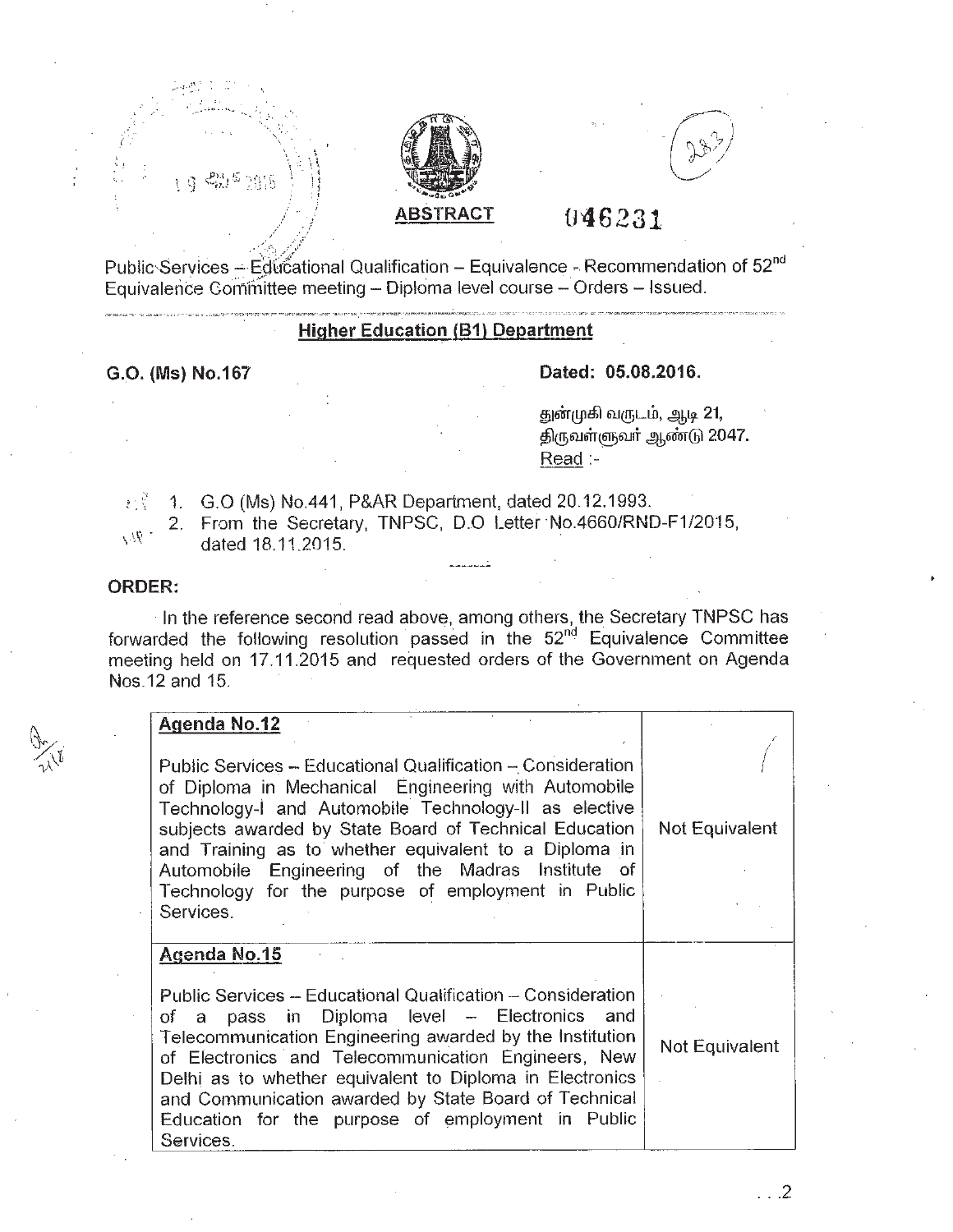



# **tr46231 ABSTRACT**

Public-Services  $-$  Educational Qualification - Equivalence - Recommendation of  $52<sup>nd</sup>$ Equivalence Committee meeting - Diploma level course - Orders - Issued.

# **Higher Education (81) Department**

# **G.O. (Ms) NO.167 Dated: 05.08.2016.**

துன்முகி வருடம், ஆடி 21, திருவள்ளுவர் ஆண்டு 2047.  $Read: -$ 

 $1.$  G.O (Ms) No.441, P&AR Department, dated 20.12.1993.

.::'>'

2. From the Secretary, TNPSC, D.O Letter No.4660/RND-F1/2015, dated 18.11.2015.

### **ORDER:**

 $\sim$   $\eta_{\ell,\ell}$ 

In the reference second read above, among others, the Secretary TNPSC has forwarded the following resolution passed in the 52<sup>nd</sup> Equivalence Committee meeting held on 17.11.2015 and requested orders of the Government on Agenda Nos.12 and 15.

#### **Agenda NO.12** .

Public Services - Educational Qualification - Consideration of Diploma in Mechanical Engineering with Automobile Technology-1 and Automobile Technology-II as elective subjects awarded by State Board of Technical Education and Training as to whether equivalent to a Diploma in Automobile Engineering of the Madras Institute of Technology for the purpose of employment in Public Services.

# **Agenda NO.15**

Public Services - Educational Qualification - Consideration of a pass in Diploma level - Electronics and Telecommunication Engineering awarded by the Institution of Electronics' and Telecommunication Engineers, New Delhi as to whether equivalent to Diploma in Electronics and Communication awarded by State Board of Technical Education for the purpose of employment in Public Services. Not Equivalent

.. .2

 $\int$ 

Not Equivalent